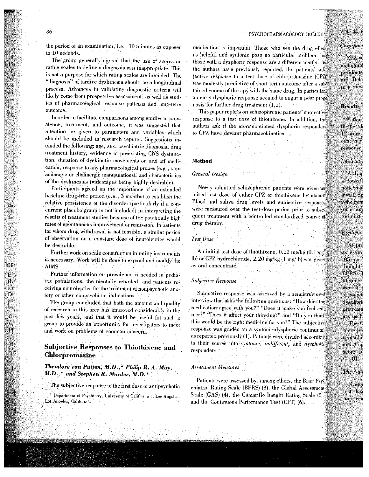#### PSYCHOPHARMACOLOGY BULLETN

the period of an examination, i.e., 10 minutes as opposed to 10 seconds.

The group generally agreed that the use of scores on rating scales to define a diagnosis was inappropriate. This is not a purpose for which rating scales are intended. The "diagnosis" of tardive dyskinesia should be a longitudinal process. Advances in validating diagnostic criteria will likely come from prospective assessment, as well as studies of pharmacological response patterns and long-term outcome.

In order to facilitate comparisons among studies of prevalence, treatment, and outcome, it was suggested that attention be given to parameters and variables which should be included in research reports. Suggestions included the following: age, sex, psychiatric diagnosis, drug treatment history, evidence of preexisting CNS dysfunction, duration of dyskinetic movements on and off medication, response to any pharmacological probes (e.g., dopaminergic or cholinergic manipulations), and characteristics of the dyskinesias (videotapes being highly desirable).

Participants agreed on the importance of an extended baseline drug-free period (e.g., 3 months) to establish the relative persistence of the disorder (particularly if a concurrent placebo group is not included) in interpreting the results of treatment studies because of the potentially high rates of spontaneous improvement or remission. In patients for whom drug withdrawal is not feasible, a similar period of observation on a constant dose of neuroleptics would be desirable.

Further work on scale construction in rating instruments is necessary. Work will be done to expand and modify the AIMS.

Further information on prevalence is needed in pediatric populations, the mentally retarded, and patients receiving neuroleptics for the treatment of nonpsychotic anxiety or other nonpsychotic indications.

The group concluded that both the amount and quality of research in this area has improved considerably in the past few years, and that it would be useful for such a group to provide an opportunity for investigators to meet and work on problems of common concern.

# **Subjective Responses to Thiothixene and Chlorpromazine**

## Theodore van Putten, M.D.,\* Philip R. A. May, M.D.,\* and Stephen R. Marder, M.D.\*

The subjective response to the first dose of antipsychotic

\* Department of Psychiatry, University of California at Los Angeles, Los Angeles, California.

medication is important. Those who see the drug effect as helpful and syntonic pose no particular problem, but those with a dysphoric response are a different matter. As the authors have previously reported, the patients' subjective response to a test dose of chlorpromazine (CPZ) was modestly predictive of short-term outcome after a sustained course of therapy with the same drug. In particular, an early dysphoric response seemed to augur a poor prognosis for further drug treatment  $(1, 2)$ .

This paper reports on schizophrenic patients' subjective response to a test dose of thiothixene. In addition, the authors ask if the aforementioned dysphoric responders to CPZ have deviant pharmacokinetics.

**Method** 

### **General Design**

Newly admitted schizophrenic patients were given an initial test dose of either CPZ or thiothixene by mouth. Blood and saliva drug levels and subjective responses were measured over the test-dose period prior to subsequent treatment with a controlled standardized course of drug therapy.

### Test Dose

An initial test dose of thiothixene, 0.22 mg/kg (0.1 mg/ lb) or CPZ hydrochloride, 2.20 mg/kg (1 mg/lb) was given as oral concentrate.

### **Subjective Response**

Subjective response was assessed by a semistructured interview that asks the following questions: "How does the medication agree with you?" "Does it make you feel calmer?" "Does it affect your thinking?" and "Do you think this would be the right medicine for you?" The subjective response was graded on a syntonic-dysphoric continuum: as reported previously (1). Patients were divided according to their scores into syntonic, indifferent, and dysphoric responders.

#### **Assessment Measures**

Patients were assessed by, among others, the Brief Psychiatric Rating Scale (BPRS) (3), the Global Assessment Scale (GAS) (4), the Camarillo Insight Rating Scale (5) and the Continuous Performance Test (CPT) (6).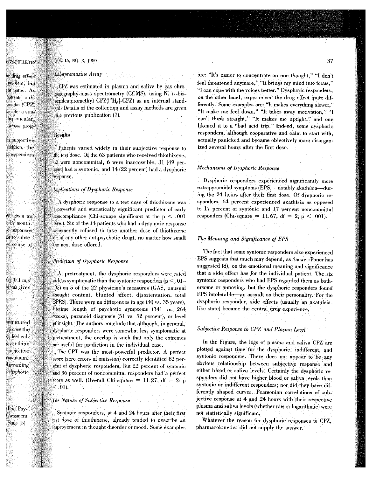### VOL. 16, NO. 3, 1980

#### Chlorpromazine Assav . .

CPZ was estimated in plasma and saliva by gas chromatography-mass spectrometry (GCMS), using N, iv-bisperideuteromethyl  $CPZ({}^{2}H_{6}]-CPZ$ ) as an internal standard. Details of the collection and assay methods are given in a previous publication (7).

### Results

Patients varied widely in their subjective response to the test dose. Of the 63 patients who received thiothixene, 12 were noncommital, 6 were inaccessible, 31 (49 perhad a syntonic, and 14 (22 percent) had a dysphoric. response.

### Implications of Dysphoric Response

A dysphoric response to a test dose of thiothixene was a powerful and statistically significant predictor of early noncompliance (Chi-square significant at the  $p < .001$ level). Six of the 14 patients who had a dysphoric response . refused to take another dose of thiolhixene for of any other antipsychotic drug), no matter how small the next dose offered.

### Prediction of Dysphoric Response

At pretreatment, the dysphoric responders were rated as less symptomatic than the syntonic responders (p  $\leq .01$ on 5 of the 22 physician's measures (GAS, unusual thought content, blunted affect, disorientation, total  $BPRS$ ). There were no differences in age (30 vs. 35 years), lifetime length of psychotic symptoms  $(341 \text{ vs. } 264)$ weeks), paranoid diagnosis  $(51 \text{ vs. } 52 \text{ percent})$ , or level of insight. The authors conclude that although, in general, dysphoric responders were somewhat less symptomatic at pretreatment, the overlap is such that only the extremes are useful for prediction in the individual case.

. CPT was the most powerful predictor. A perfect score (zero errors of omission) correctly identified 82 percent of dysphoric responders, but 22 percent of syntonic 36 percent of noncommittal responders had a perfect score as well. (Overall Chi-square  $= 11.27$ , df  $= 2$ ; p  $\leq .01$ ).

### The Nature of Subjective Response

Syntonic responders, at 4 and 24 hours after their first dose of thiothixene, already tended to describe an improvement in thought disorder or mood. Some examples are: "It's easier to concentrate on. one thought," "I don't feel threatened anymore," "It brings my mind into focus," "lean cope with the voices better," Dysphoric responders, on the other hand, experienced the drug effect quite differently, Some examples are: "It makes everything slower," "It make me feel down," "It takes away motivation," "I can't think straight," "It makes me uptight," and one likened it to a "bad acid trip." Indeed, some dysphoric responders, although cooperative and calm to start with. .actually panicked and became objectively more disorganized several hours after the first dose.

#### *Mechanisms of Dysphoric;Response*

Dysphoric responders experienced significantly more extrapyramidal symptoms (EPS)-notably akathisia-during the 24 hours after their first dose. Of dysphoric responders, 64 percent experienced akathisia as opposed to 17 percent of syntonic and 17 percent noncommittal responders (Chi-square = 11.67,  $df = 2$ ;  $p < .001$ ).

### *The Meaning and Significance of EPS*

The fact that some syntonic responders also experienced EPS suggests that much may depend, as Sarwer-Foner has suggested (8), on the emotional meaning and significance that a side effect has for the individual patient, The six syntonic responders who had EPS regarded them as bothersome or annoying, but the dysphoric responders found EPS intolerable-an assault on their personality. For the dysphoric responder, side effects (usually an akathisialike state) became the central drug experience.

### *Subjectioe Response to C[iZ·~nd Plasma Leoel :*

In the Figure, the logs of plasma and saliva CPZ are plotted against time for the dysphoric, indifferent, and syntonic responders. There does not appear to be any obvious relationship between subjective response and either blood or saliva levels. Certainly the dysphoric responders did not have higher blood or sativa levels than syntonic or indifferent responders; nor did they have differently shaped curves. Pearsonian correlations of subjective response at 4 and 24 hours with their respective plasma and saliva levels (whether raw or logarithmic) were not statistically significant.

Whatever the reason for dysphoric responses to CPZ, pharmacokinetics did not supply the answer.